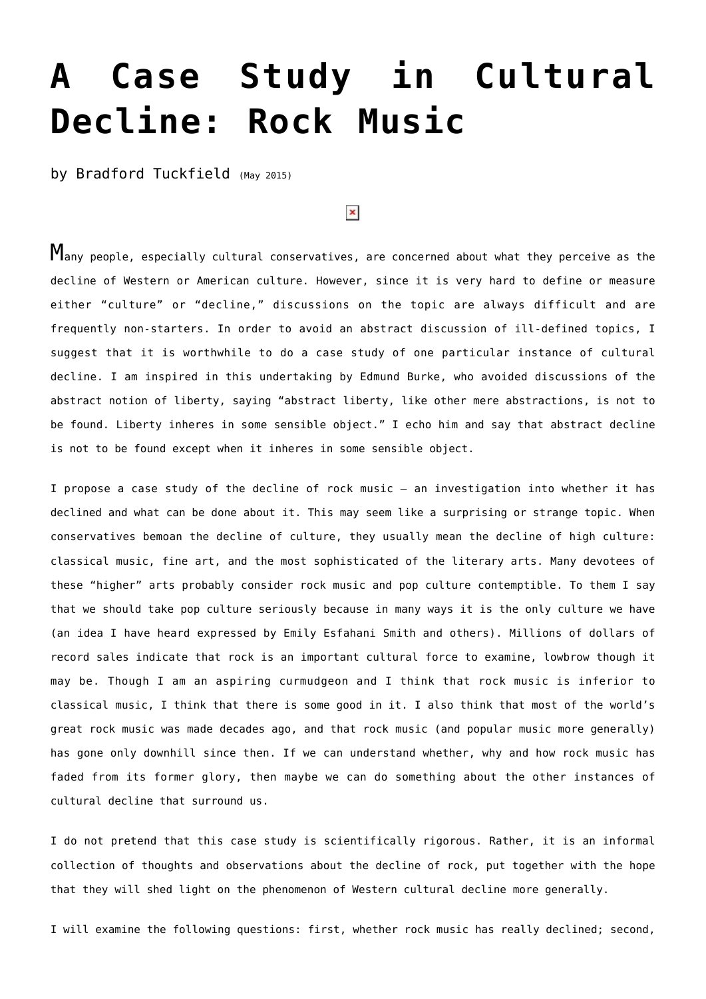# **[A Case Study in Cultural](https://www.newenglishreview.org/articles/a-case-study-in-cultural-decline-rock-music/) [Decline: Rock Music](https://www.newenglishreview.org/articles/a-case-study-in-cultural-decline-rock-music/)**

by Bradford Tuckfield (May 2015)

## $\pmb{\times}$

Many people, especially cultural conservatives, are concerned about what they perceive as the decline of Western or American culture. However, since it is very hard to define or measure either "culture" or "decline," discussions on the topic are always difficult and are frequently non-starters. In order to avoid an abstract discussion of ill-defined topics, I suggest that it is worthwhile to do a case study of one particular instance of cultural decline. I am inspired in this undertaking by Edmund Burke, who avoided discussions of the abstract notion of liberty, saying "abstract liberty, like other mere abstractions, is not to be found. Liberty inheres in some sensible object." I echo him and say that abstract decline is not to be found except when it inheres in some sensible object.

I propose a case study of the decline of rock music – an investigation into whether it has declined and what can be done about it. This may seem like a surprising or strange topic. When conservatives bemoan the decline of culture, they usually mean the decline of high culture: classical music, fine art, and the most sophisticated of the literary arts. Many devotees of these "higher" arts probably consider rock music and pop culture contemptible. To them I say that we should take pop culture seriously because in many ways it is the only culture we have (an idea I have heard expressed by Emily Esfahani Smith and others). Millions of dollars of record sales indicate that rock is an important cultural force to examine, lowbrow though it may be. Though I am an aspiring curmudgeon and I think that rock music is inferior to classical music, I think that there is some good in it. I also think that most of the world's great rock music was made decades ago, and that rock music (and popular music more generally) has gone only downhill since then. If we can understand whether, why and how rock music has faded from its former glory, then maybe we can do something about the other instances of cultural decline that surround us.

I do not pretend that this case study is scientifically rigorous. Rather, it is an informal collection of thoughts and observations about the decline of rock, put together with the hope that they will shed light on the phenomenon of Western cultural decline more generally.

I will examine the following questions: first, whether rock music has really declined; second,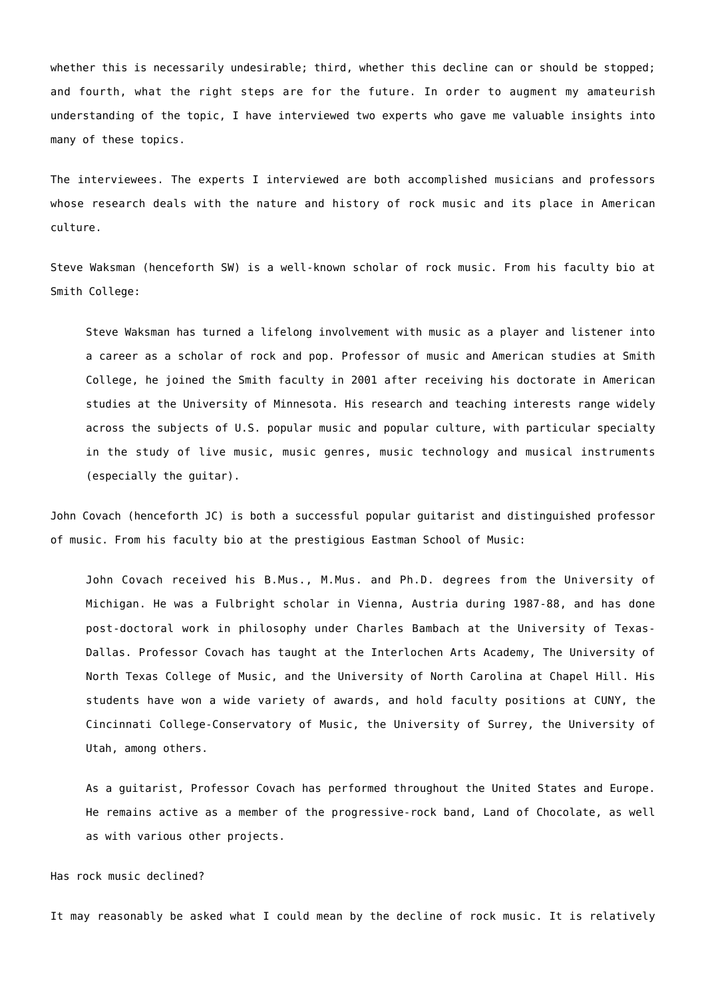whether this is necessarily undesirable; third, whether this decline can or should be stopped; and fourth, what the right steps are for the future. In order to augment my amateurish understanding of the topic, I have interviewed two experts who gave me valuable insights into many of these topics.

The interviewees. The experts I interviewed are both accomplished musicians and professors whose research deals with the nature and history of rock music and its place in American culture.

Steve Waksman (henceforth SW) is a well-known scholar of rock music. From his faculty bio at Smith College:

Steve Waksman has turned a lifelong involvement with music as a player and listener into a career as a scholar of rock and pop. Professor of music and American studies at Smith College, he joined the Smith faculty in 2001 after receiving his doctorate in American studies at the University of Minnesota. His research and teaching interests range widely across the subjects of U.S. popular music and popular culture, with particular specialty in the study of live music, music genres, music technology and musical instruments (especially the guitar).

John Covach (henceforth JC) is both a successful popular guitarist and distinguished professor of music. From his faculty bio at the prestigious Eastman School of Music:

John Covach received his B.Mus., M.Mus. and Ph.D. degrees from the University of Michigan. He was a Fulbright scholar in Vienna, Austria during 1987-88, and has done post-doctoral work in philosophy under Charles Bambach at the University of Texas-Dallas. Professor Covach has taught at the Interlochen Arts Academy, The University of North Texas College of Music, and the University of North Carolina at Chapel Hill. His students have won a wide variety of awards, and hold faculty positions at CUNY, the Cincinnati College-Conservatory of Music, the University of Surrey, the University of Utah, among others.

As a guitarist, Professor Covach has performed throughout the United States and Europe. He remains active as a member of the progressive-rock band, Land of Chocolate, as well as with various other projects.

Has rock music declined?

It may reasonably be asked what I could mean by the decline of rock music. It is relatively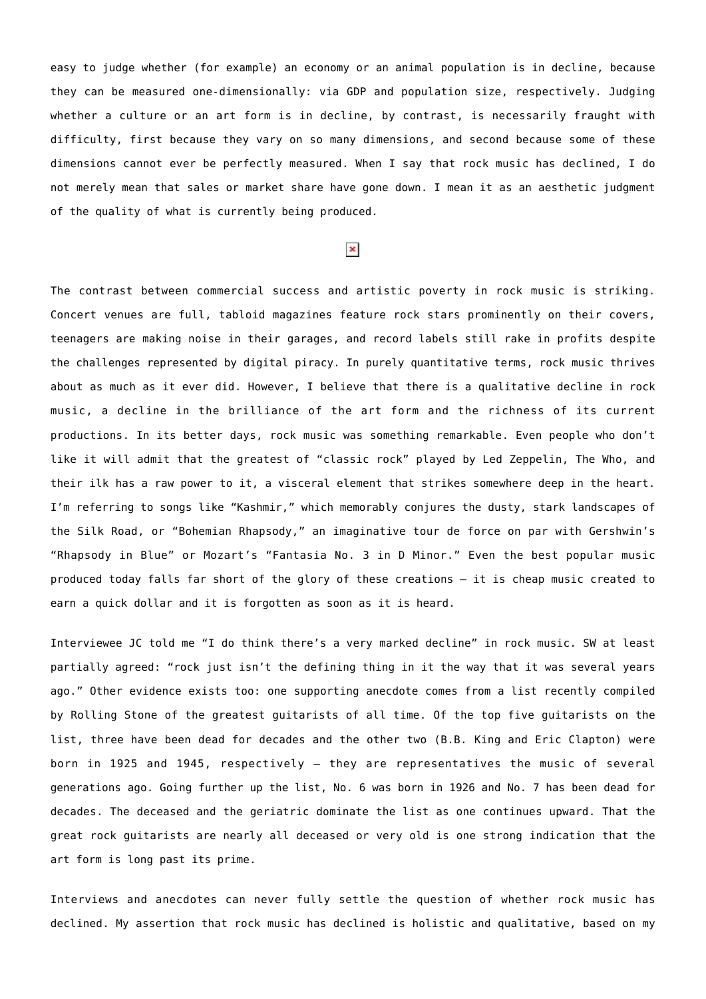easy to judge whether (for example) an economy or an animal population is in decline, because they can be measured one-dimensionally: via GDP and population size, respectively. Judging whether a culture or an art form is in decline, by contrast, is necessarily fraught with difficulty, first because they vary on so many dimensions, and second because some of these dimensions cannot ever be perfectly measured. When I say that rock music has declined, I do not merely mean that sales or market share have gone down. I mean it as an aesthetic judgment of the quality of what is currently being produced.

### $\pmb{\times}$

The contrast between commercial success and artistic poverty in rock music is striking. Concert venues are full, tabloid magazines feature rock stars prominently on their covers, teenagers are making noise in their garages, and record labels still rake in profits despite the challenges represented by digital piracy. In purely quantitative terms, rock music thrives about as much as it ever did. However, I believe that there is a qualitative decline in rock music, a decline in the brilliance of the art form and the richness of its current productions. In its better days, rock music was something remarkable. Even people who don't like it will admit that the greatest of "classic rock" played by Led Zeppelin, The Who, and their ilk has a raw power to it, a visceral element that strikes somewhere deep in the heart. I'm referring to songs like "Kashmir," which memorably conjures the dusty, stark landscapes of the Silk Road, or "Bohemian Rhapsody," an imaginative tour de force on par with Gershwin's "Rhapsody in Blue" or Mozart's "Fantasia No. 3 in D Minor." Even the best popular music produced today falls far short of the glory of these creations – it is cheap music created to earn a quick dollar and it is forgotten as soon as it is heard.

Interviewee JC told me "I do think there's a very marked decline" in rock music. SW at least partially agreed: "rock just isn't the defining thing in it the way that it was several years ago." Other evidence exists too: one supporting anecdote comes from a list recently compiled by Rolling Stone of the greatest guitarists of all time. Of the top five guitarists on the list, three have been dead for decades and the other two (B.B. King and Eric Clapton) were born in 1925 and 1945, respectively – they are representatives the music of several generations ago. Going further up the list, No. 6 was born in 1926 and No. 7 has been dead for decades. The deceased and the geriatric dominate the list as one continues upward. That the great rock guitarists are nearly all deceased or very old is one strong indication that the art form is long past its prime.

Interviews and anecdotes can never fully settle the question of whether rock music has declined. My assertion that rock music has declined is holistic and qualitative, based on my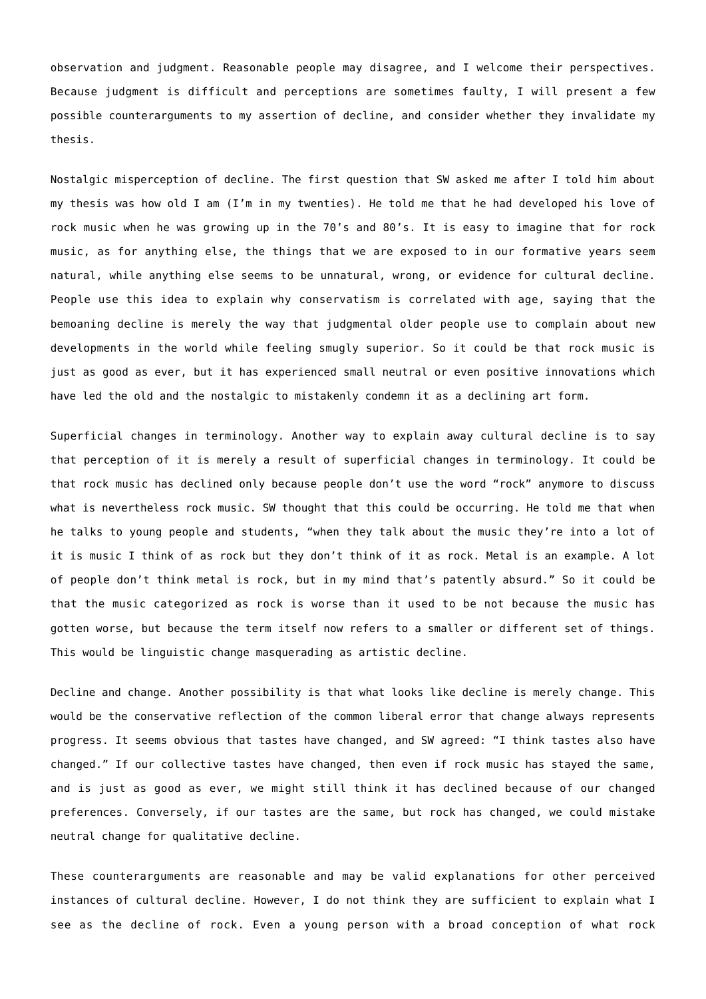observation and judgment. Reasonable people may disagree, and I welcome their perspectives. Because judgment is difficult and perceptions are sometimes faulty, I will present a few possible counterarguments to my assertion of decline, and consider whether they invalidate my thesis.

Nostalgic misperception of decline. The first question that SW asked me after I told him about my thesis was how old I am (I'm in my twenties). He told me that he had developed his love of rock music when he was growing up in the 70's and 80's. It is easy to imagine that for rock music, as for anything else, the things that we are exposed to in our formative years seem natural, while anything else seems to be unnatural, wrong, or evidence for cultural decline. People use this idea to explain why conservatism is correlated with age, saying that the bemoaning decline is merely the way that judgmental older people use to complain about new developments in the world while feeling smugly superior. So it could be that rock music is just as good as ever, but it has experienced small neutral or even positive innovations which have led the old and the nostalgic to mistakenly condemn it as a declining art form.

Superficial changes in terminology. Another way to explain away cultural decline is to say that perception of it is merely a result of superficial changes in terminology. It could be that rock music has declined only because people don't use the word "rock" anymore to discuss what is nevertheless rock music. SW thought that this could be occurring. He told me that when he talks to young people and students, "when they talk about the music they're into a lot of it is music I think of as rock but they don't think of it as rock. Metal is an example. A lot of people don't think metal is rock, but in my mind that's patently absurd." So it could be that the music categorized as rock is worse than it used to be not because the music has gotten worse, but because the term itself now refers to a smaller or different set of things. This would be linguistic change masquerading as artistic decline.

Decline and change. Another possibility is that what looks like decline is merely change. This would be the conservative reflection of the common liberal error that change always represents progress. It seems obvious that tastes have changed, and SW agreed: "I think tastes also have changed." If our collective tastes have changed, then even if rock music has stayed the same, and is just as good as ever, we might still think it has declined because of our changed preferences. Conversely, if our tastes are the same, but rock has changed, we could mistake neutral change for qualitative decline.

These counterarguments are reasonable and may be valid explanations for other perceived instances of cultural decline. However, I do not think they are sufficient to explain what I see as the decline of rock. Even a young person with a broad conception of what rock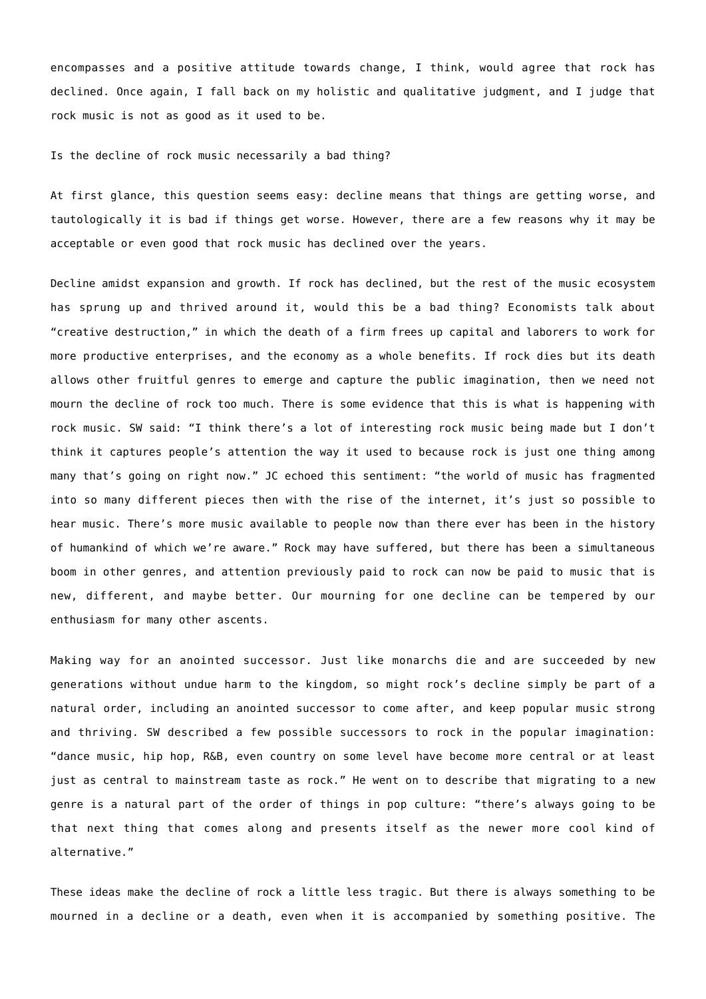encompasses and a positive attitude towards change, I think, would agree that rock has declined. Once again, I fall back on my holistic and qualitative judgment, and I judge that rock music is not as good as it used to be.

Is the decline of rock music necessarily a bad thing?

At first glance, this question seems easy: decline means that things are getting worse, and tautologically it is bad if things get worse. However, there are a few reasons why it may be acceptable or even good that rock music has declined over the years.

Decline amidst expansion and growth. If rock has declined, but the rest of the music ecosystem has sprung up and thrived around it, would this be a bad thing? Economists talk about "creative destruction," in which the death of a firm frees up capital and laborers to work for more productive enterprises, and the economy as a whole benefits. If rock dies but its death allows other fruitful genres to emerge and capture the public imagination, then we need not mourn the decline of rock too much. There is some evidence that this is what is happening with rock music. SW said: "I think there's a lot of interesting rock music being made but I don't think it captures people's attention the way it used to because rock is just one thing among many that's going on right now." JC echoed this sentiment: "the world of music has fragmented into so many different pieces then with the rise of the internet, it's just so possible to hear music. There's more music available to people now than there ever has been in the history of humankind of which we're aware." Rock may have suffered, but there has been a simultaneous boom in other genres, and attention previously paid to rock can now be paid to music that is new, different, and maybe better. Our mourning for one decline can be tempered by our enthusiasm for many other ascents.

Making way for an anointed successor. Just like monarchs die and are succeeded by new generations without undue harm to the kingdom, so might rock's decline simply be part of a natural order, including an anointed successor to come after, and keep popular music strong and thriving. SW described a few possible successors to rock in the popular imagination: "dance music, hip hop, R&B, even country on some level have become more central or at least just as central to mainstream taste as rock." He went on to describe that migrating to a new genre is a natural part of the order of things in pop culture: "there's always going to be that next thing that comes along and presents itself as the newer more cool kind of alternative."

These ideas make the decline of rock a little less tragic. But there is always something to be mourned in a decline or a death, even when it is accompanied by something positive. The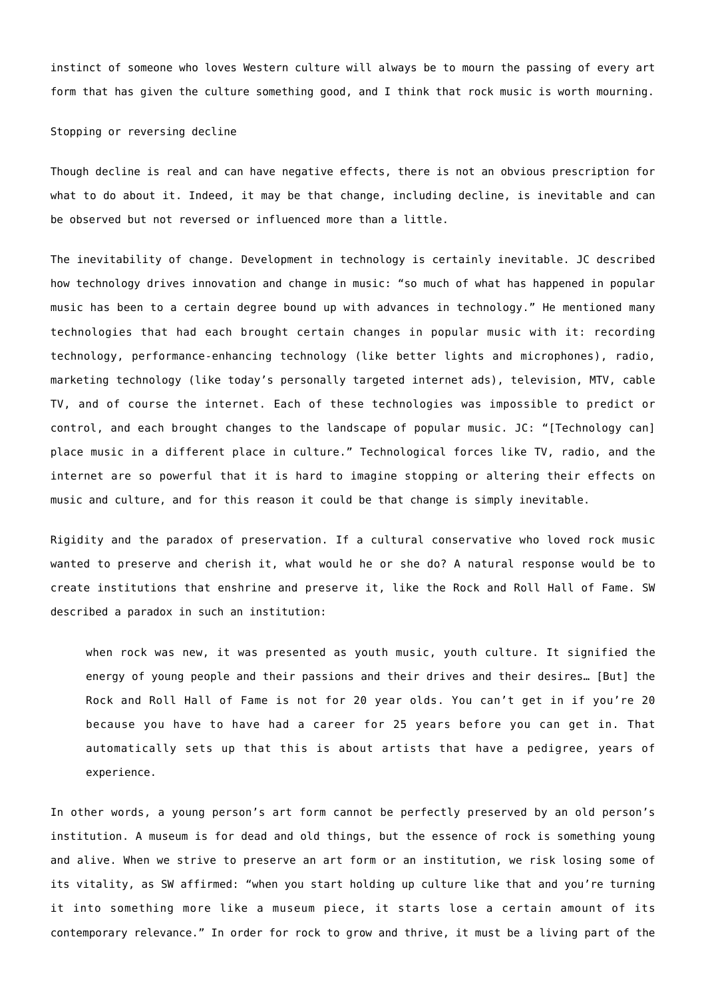instinct of someone who loves Western culture will always be to mourn the passing of every art form that has given the culture something good, and I think that rock music is worth mourning.

#### Stopping or reversing decline

Though decline is real and can have negative effects, there is not an obvious prescription for what to do about it. Indeed, it may be that change, including decline, is inevitable and can be observed but not reversed or influenced more than a little.

The inevitability of change. Development in technology is certainly inevitable. JC described how technology drives innovation and change in music: "so much of what has happened in popular music has been to a certain degree bound up with advances in technology." He mentioned many technologies that had each brought certain changes in popular music with it: recording technology, performance-enhancing technology (like better lights and microphones), radio, marketing technology (like today's personally targeted internet ads), television, MTV, cable TV, and of course the internet. Each of these technologies was impossible to predict or control, and each brought changes to the landscape of popular music. JC: "[Technology can] place music in a different place in culture." Technological forces like TV, radio, and the internet are so powerful that it is hard to imagine stopping or altering their effects on music and culture, and for this reason it could be that change is simply inevitable.

Rigidity and the paradox of preservation. If a cultural conservative who loved rock music wanted to preserve and cherish it, what would he or she do? A natural response would be to create institutions that enshrine and preserve it, like the Rock and Roll Hall of Fame. SW described a paradox in such an institution:

when rock was new, it was presented as youth music, youth culture. It signified the energy of young people and their passions and their drives and their desires… [But] the Rock and Roll Hall of Fame is not for 20 year olds. You can't get in if you're 20 because you have to have had a career for 25 years before you can get in. That automatically sets up that this is about artists that have a pedigree, years of experience.

In other words, a young person's art form cannot be perfectly preserved by an old person's institution. A museum is for dead and old things, but the essence of rock is something young and alive. When we strive to preserve an art form or an institution, we risk losing some of its vitality, as SW affirmed: "when you start holding up culture like that and you're turning it into something more like a museum piece, it starts lose a certain amount of its contemporary relevance." In order for rock to grow and thrive, it must be a living part of the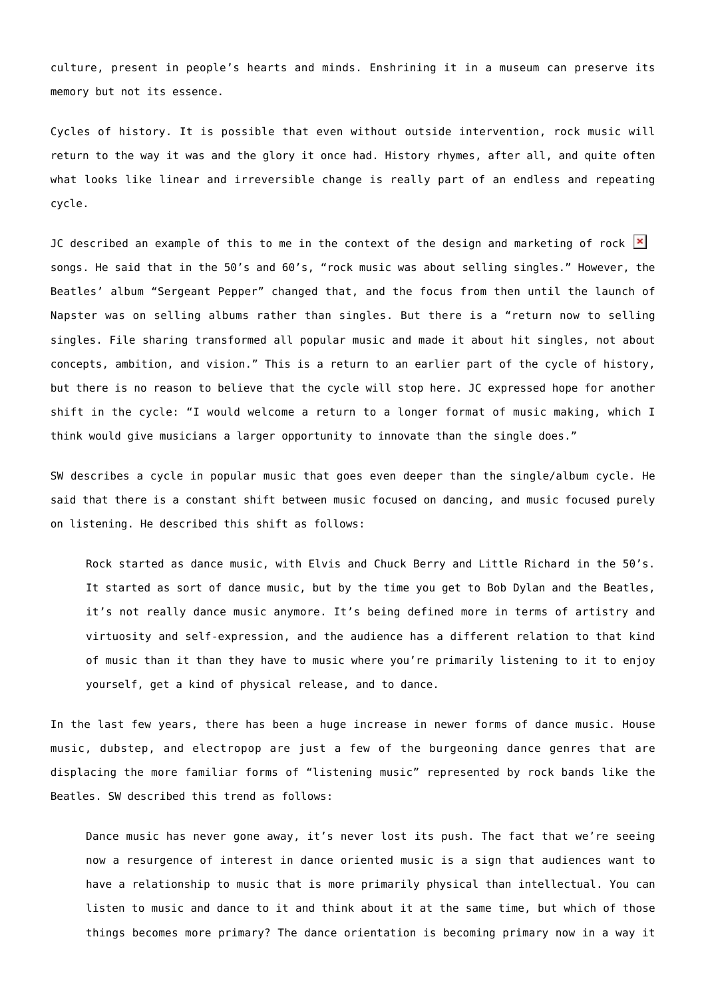culture, present in people's hearts and minds. Enshrining it in a museum can preserve its memory but not its essence.

Cycles of history. It is possible that even without outside intervention, rock music will return to the way it was and the glory it once had. History rhymes, after all, and quite often what looks like linear and irreversible change is really part of an endless and repeating cycle.

JC described an example of this to me in the context of the design and marketing of rock  $\mathbf{X}$ songs. He said that in the 50's and 60's, "rock music was about selling singles." However, the Beatles' album "Sergeant Pepper" changed that, and the focus from then until the launch of Napster was on selling albums rather than singles. But there is a "return now to selling singles. File sharing transformed all popular music and made it about hit singles, not about concepts, ambition, and vision." This is a return to an earlier part of the cycle of history, but there is no reason to believe that the cycle will stop here. JC expressed hope for another shift in the cycle: "I would welcome a return to a longer format of music making, which I think would give musicians a larger opportunity to innovate than the single does."

SW describes a cycle in popular music that goes even deeper than the single/album cycle. He said that there is a constant shift between music focused on dancing, and music focused purely on listening. He described this shift as follows:

Rock started as dance music, with Elvis and Chuck Berry and Little Richard in the 50's. It started as sort of dance music, but by the time you get to Bob Dylan and the Beatles, it's not really dance music anymore. It's being defined more in terms of artistry and virtuosity and self-expression, and the audience has a different relation to that kind of music than it than they have to music where you're primarily listening to it to enjoy yourself, get a kind of physical release, and to dance.

In the last few years, there has been a huge increase in newer forms of dance music. House music, dubstep, and electropop are just a few of the burgeoning dance genres that are displacing the more familiar forms of "listening music" represented by rock bands like the Beatles. SW described this trend as follows:

Dance music has never gone away, it's never lost its push. The fact that we're seeing now a resurgence of interest in dance oriented music is a sign that audiences want to have a relationship to music that is more primarily physical than intellectual. You can listen to music and dance to it and think about it at the same time, but which of those things becomes more primary? The dance orientation is becoming primary now in a way it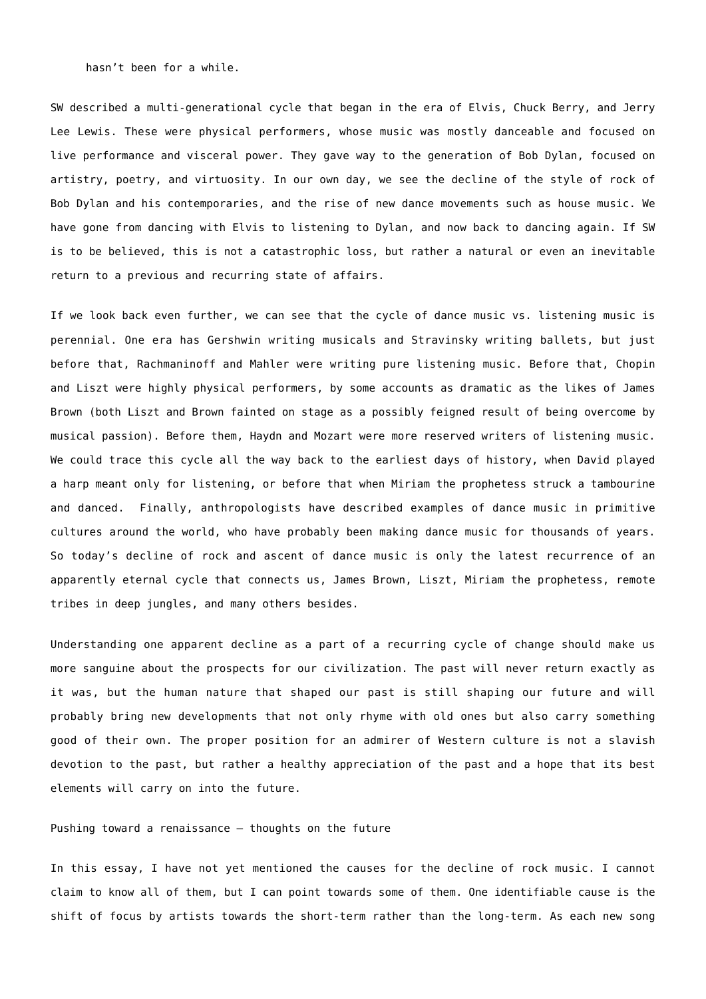hasn't been for a while.

SW described a multi-generational cycle that began in the era of Elvis, Chuck Berry, and Jerry Lee Lewis. These were physical performers, whose music was mostly danceable and focused on live performance and visceral power. They gave way to the generation of Bob Dylan, focused on artistry, poetry, and virtuosity. In our own day, we see the decline of the style of rock of Bob Dylan and his contemporaries, and the rise of new dance movements such as house music. We have gone from dancing with Elvis to listening to Dylan, and now back to dancing again. If SW is to be believed, this is not a catastrophic loss, but rather a natural or even an inevitable return to a previous and recurring state of affairs.

If we look back even further, we can see that the cycle of dance music vs. listening music is perennial. One era has Gershwin writing musicals and Stravinsky writing ballets, but just before that, Rachmaninoff and Mahler were writing pure listening music. Before that, Chopin and Liszt were highly physical performers, by some accounts as dramatic as the likes of James Brown (both Liszt and Brown fainted on stage as a possibly feigned result of being overcome by musical passion). Before them, Haydn and Mozart were more reserved writers of listening music. We could trace this cycle all the way back to the earliest days of history, when David played a harp meant only for listening, or before that when Miriam the prophetess struck a tambourine and danced. Finally, anthropologists have described examples of dance music in primitive cultures around the world, who have probably been making dance music for thousands of years. So today's decline of rock and ascent of dance music is only the latest recurrence of an apparently eternal cycle that connects us, James Brown, Liszt, Miriam the prophetess, remote tribes in deep jungles, and many others besides.

Understanding one apparent decline as a part of a recurring cycle of change should make us more sanguine about the prospects for our civilization. The past will never return exactly as it was, but the human nature that shaped our past is still shaping our future and will probably bring new developments that not only rhyme with old ones but also carry something good of their own. The proper position for an admirer of Western culture is not a slavish devotion to the past, but rather a healthy appreciation of the past and a hope that its best elements will carry on into the future.

#### Pushing toward a renaissance – thoughts on the future

In this essay, I have not yet mentioned the causes for the decline of rock music. I cannot claim to know all of them, but I can point towards some of them. One identifiable cause is the shift of focus by artists towards the short-term rather than the long-term. As each new song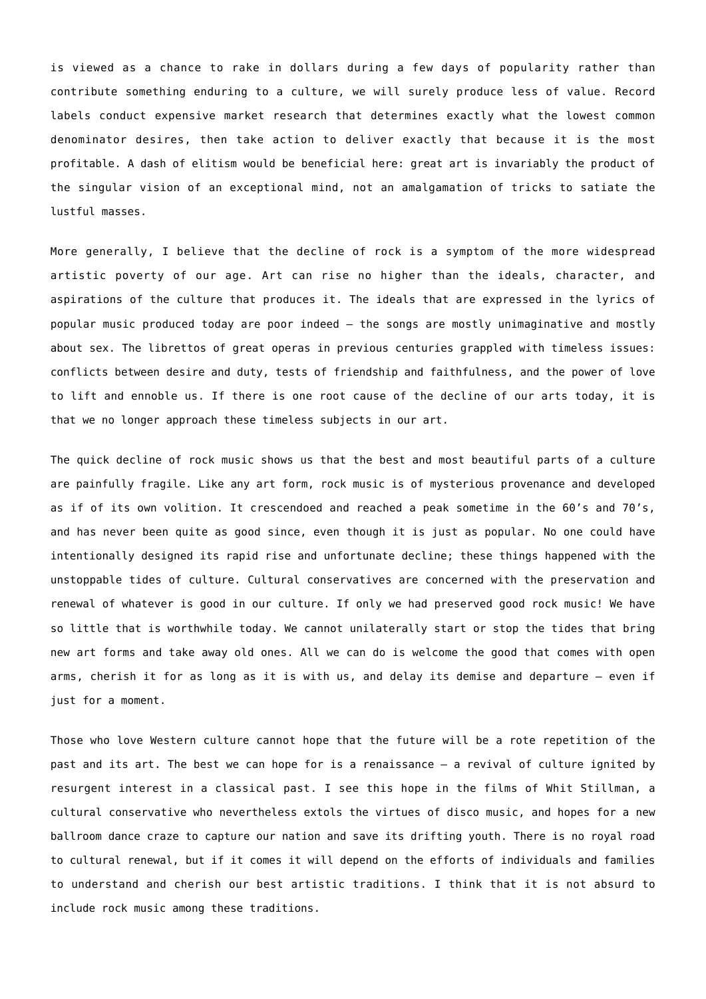is viewed as a chance to rake in dollars during a few days of popularity rather than contribute something enduring to a culture, we will surely produce less of value. Record labels conduct expensive market research that determines exactly what the lowest common denominator desires, then take action to deliver exactly that because it is the most profitable. A dash of elitism would be beneficial here: great art is invariably the product of the singular vision of an exceptional mind, not an amalgamation of tricks to satiate the lustful masses.

More generally, I believe that the decline of rock is a symptom of the more widespread artistic poverty of our age. Art can rise no higher than the ideals, character, and aspirations of the culture that produces it. The ideals that are expressed in the lyrics of popular music produced today are poor indeed – the songs are mostly unimaginative and mostly about sex. The librettos of great operas in previous centuries grappled with timeless issues: conflicts between desire and duty, tests of friendship and faithfulness, and the power of love to lift and ennoble us. If there is one root cause of the decline of our arts today, it is that we no longer approach these timeless subjects in our art.

The quick decline of rock music shows us that the best and most beautiful parts of a culture are painfully fragile. Like any art form, rock music is of mysterious provenance and developed as if of its own volition. It crescendoed and reached a peak sometime in the 60's and 70's, and has never been quite as good since, even though it is just as popular. No one could have intentionally designed its rapid rise and unfortunate decline; these things happened with the unstoppable tides of culture. Cultural conservatives are concerned with the preservation and renewal of whatever is good in our culture. If only we had preserved good rock music! We have so little that is worthwhile today. We cannot unilaterally start or stop the tides that bring new art forms and take away old ones. All we can do is welcome the good that comes with open arms, cherish it for as long as it is with us, and delay its demise and departure – even if just for a moment.

Those who love Western culture cannot hope that the future will be a rote repetition of the past and its art. The best we can hope for is a renaissance – a revival of culture ignited by resurgent interest in a classical past. I see this hope in the films of Whit Stillman, a cultural conservative who nevertheless extols the virtues of disco music, and hopes for a new ballroom dance craze to capture our nation and save its drifting youth. There is no royal road to cultural renewal, but if it comes it will depend on the efforts of individuals and families to understand and cherish our best artistic traditions. I think that it is not absurd to include rock music among these traditions.